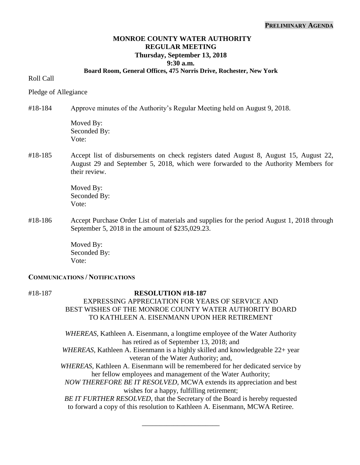### **PRELIMINARY AGENDA**

## **MONROE COUNTY WATER AUTHORITY REGULAR MEETING Thursday, September 13, 2018 9:30 a.m.**

### **Board Room, General Offices, 475 Norris Drive, Rochester, New York**

Roll Call

Pledge of Allegiance

#18-184 Approve minutes of the Authority's Regular Meeting held on August 9, 2018.

Moved By: Seconded By: Vote:

#18-185 Accept list of disbursements on check registers dated August 8, August 15, August 22, August 29 and September 5, 2018, which were forwarded to the Authority Members for their review.

> Moved By: Seconded By: Vote:

#18-186 Accept Purchase Order List of materials and supplies for the period August 1, 2018 through September 5, 2018 in the amount of \$235,029.23.

> Moved By: Seconded By: Vote:

### **COMMUNICATIONS / NOTIFICATIONS**

#### #18-187 **RESOLUTION #18-187**

## EXPRESSING APPRECIATION FOR YEARS OF SERVICE AND BEST WISHES OF THE MONROE COUNTY WATER AUTHORITY BOARD TO KATHLEEN A. EISENMANN UPON HER RETIREMENT

*WHEREAS*, Kathleen A. Eisenmann, a longtime employee of the Water Authority has retired as of September 13, 2018; and *WHEREAS*, Kathleen A. Eisenmann is a highly skilled and knowledgeable 22+ year veteran of the Water Authority; and, *WHEREAS*, Kathleen A. Eisenmann will be remembered for her dedicated service by her fellow employees and management of the Water Authority; *NOW THEREFORE BE IT RESOLVED,* MCWA extends its appreciation and best wishes for a happy, fulfilling retirement; *BE IT FURTHER RESOLVED*, that the Secretary of the Board is hereby requested to forward a copy of this resolution to Kathleen A. Eisenmann, MCWA Retiree.

\_\_\_\_\_\_\_\_\_\_\_\_\_\_\_\_\_\_\_\_\_\_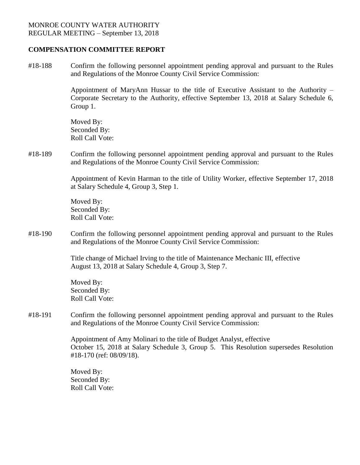### **COMPENSATION COMMITTEE REPORT**

#18-188 Confirm the following personnel appointment pending approval and pursuant to the Rules and Regulations of the Monroe County Civil Service Commission:

> Appointment of MaryAnn Hussar to the title of Executive Assistant to the Authority – Corporate Secretary to the Authority, effective September 13, 2018 at Salary Schedule 6, Group 1.

Moved By: Seconded By: Roll Call Vote:

#18-189 Confirm the following personnel appointment pending approval and pursuant to the Rules and Regulations of the Monroe County Civil Service Commission:

> Appointment of Kevin Harman to the title of Utility Worker, effective September 17, 2018 at Salary Schedule 4, Group 3, Step 1.

Moved By: Seconded By: Roll Call Vote:

#18-190 Confirm the following personnel appointment pending approval and pursuant to the Rules and Regulations of the Monroe County Civil Service Commission:

> Title change of Michael Irving to the title of Maintenance Mechanic III, effective August 13, 2018 at Salary Schedule 4, Group 3, Step 7.

Moved By: Seconded By: Roll Call Vote:

#18-191 Confirm the following personnel appointment pending approval and pursuant to the Rules and Regulations of the Monroe County Civil Service Commission:

> Appointment of Amy Molinari to the title of Budget Analyst, effective October 15, 2018 at Salary Schedule 3, Group 5. This Resolution supersedes Resolution #18-170 (ref: 08/09/18).

Moved By: Seconded By: Roll Call Vote: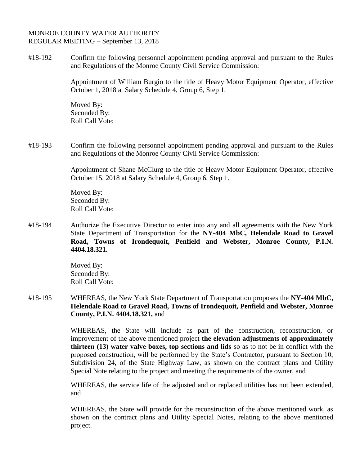### MONROE COUNTY WATER AUTHORITY REGULAR MEETING – September 13, 2018

#18-192 Confirm the following personnel appointment pending approval and pursuant to the Rules and Regulations of the Monroe County Civil Service Commission:

> Appointment of William Burgio to the title of Heavy Motor Equipment Operator, effective October 1, 2018 at Salary Schedule 4, Group 6, Step 1.

Moved By: Seconded By: Roll Call Vote:

#18-193 Confirm the following personnel appointment pending approval and pursuant to the Rules and Regulations of the Monroe County Civil Service Commission:

> Appointment of Shane McClurg to the title of Heavy Motor Equipment Operator, effective October 15, 2018 at Salary Schedule 4, Group 6, Step 1.

Moved By: Seconded By: Roll Call Vote:

#18-194 Authorize the Executive Director to enter into any and all agreements with the New York State Department of Transportation for the **NY-404 MbC, Helendale Road to Gravel Road, Towns of Irondequoit, Penfield and Webster, Monroe County, P.I.N. 4404.18.321.**

> Moved By: Seconded By: Roll Call Vote:

#18-195 WHEREAS, the New York State Department of Transportation proposes the **NY-404 MbC, Helendale Road to Gravel Road, Towns of Irondequoit, Penfield and Webster, Monroe County, P.I.N. 4404.18.321,** and

> WHEREAS, the State will include as part of the construction, reconstruction, or improvement of the above mentioned project **the elevation adjustments of approximately thirteen (13) water valve boxes, top sections and lids** so as to not be in conflict with the proposed construction, will be performed by the State's Contractor, pursuant to Section 10, Subdivision 24, of the State Highway Law, as shown on the contract plans and Utility Special Note relating to the project and meeting the requirements of the owner, and

> WHEREAS, the service life of the adjusted and or replaced utilities has not been extended, and

> WHEREAS, the State will provide for the reconstruction of the above mentioned work, as shown on the contract plans and Utility Special Notes, relating to the above mentioned project.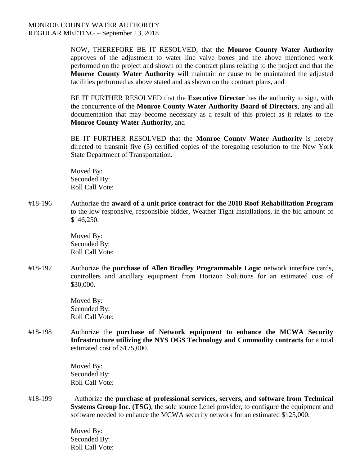NOW, THEREFORE BE IT RESOLVED, that the **Monroe County Water Authority**  approves of the adjustment to water line valve boxes and the above mentioned work performed on the project and shown on the contract plans relating to the project and that the **Monroe County Water Authority** will maintain or cause to be maintained the adjusted facilities performed as above stated and as shown on the contract plans, and

BE IT FURTHER RESOLVED that the **Executive Director** has the authority to sign, with the concurrence of the **Monroe County Water Authority Board of Directors**, any and all documentation that may become necessary as a result of this project as it relates to the **Monroe County Water Authority,** and

BE IT FURTHER RESOLVED that the **Monroe County Water Authority** is hereby directed to transmit five (5) certified copies of the foregoing resolution to the New York State Department of Transportation.

Moved By: Seconded By: Roll Call Vote:

#18-196 Authorize the **award of a unit price contract for the 2018 Roof Rehabilitation Program** to the low responsive, responsible bidder, Weather Tight Installations, in the bid amount of \$146,250.

> Moved By: Seconded By: Roll Call Vote:

#18-197 Authorize the **purchase of Allen Bradley Programmable Logic** network interface cards, controllers and ancillary equipment from Horizon Solutions for an estimated cost of \$30,000.

> Moved By: Seconded By: Roll Call Vote:

#18-198 Authorize the **purchase of Network equipment to enhance the MCWA Security Infrastructure utilizing the NYS OGS Technology and Commodity contracts** for a total estimated cost of \$175,000.

> Moved By: Seconded By: Roll Call Vote:

#18-199 Authorize the **purchase of professional services, servers, and software from Technical Systems Group Inc. (TSG)**, the sole source Lenel provider, to configure the equipment and software needed to enhance the MCWA security network for an estimated \$125,000.

> Moved By: Seconded By: Roll Call Vote: